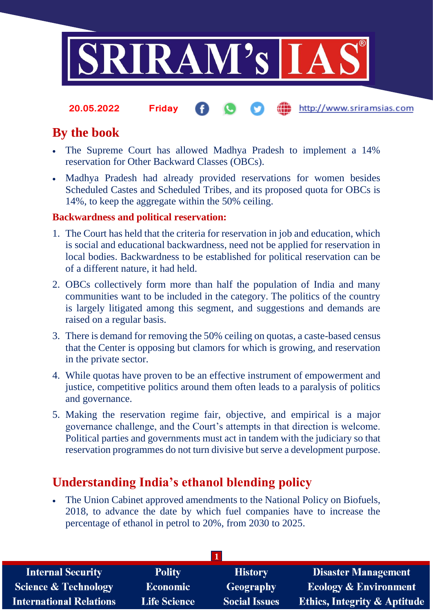

http://www.sriramsias.com **20.05.2022 Friday**

# **By the book**

- The Supreme Court has allowed Madhya Pradesh to implement a 14% reservation for Other Backward Classes (OBCs).
- Madhya Pradesh had already provided reservations for women besides Scheduled Castes and Scheduled Tribes, and its proposed quota for OBCs is 14%, to keep the aggregate within the 50% ceiling.

## **Backwardness and political reservation:**

- 1. The Court has held that the criteria for reservation in job and education, which is social and educational backwardness, need not be applied for reservation in local bodies. Backwardness to be established for political reservation can be of a different nature, it had held.
- 2. OBCs collectively form more than half the population of India and many communities want to be included in the category. The politics of the country is largely litigated among this segment, and suggestions and demands are raised on a regular basis.
- 3. There is demand for removing the 50% ceiling on quotas, a caste-based census that the Center is opposing but clamors for which is growing, and reservation in the private sector.
- 4. While quotas have proven to be an effective instrument of empowerment and justice, competitive politics around them often leads to a paralysis of politics and governance.
- 5. Making the reservation regime fair, objective, and empirical is a major governance challenge, and the Court's attempts in that direction is welcome. Political parties and governments must act in tandem with the judiciary so that reservation programmes do not turn divisive but serve a development purpose.

# **Understanding India's ethanol blending policy**

• The Union Cabinet approved amendments to the National Policy on Biofuels, 2018, to advance the date by which fuel companies have to increase the percentage of ethanol in petrol to 20%, from 2030 to 2025.

| <b>Internal Security</b>        | <b>Polity</b>       | <b>History</b>       | <b>Disaster Management</b>              |  |  |
|---------------------------------|---------------------|----------------------|-----------------------------------------|--|--|
| <b>Science &amp; Technology</b> | <b>Economic</b>     | <b>Geography</b>     | <b>Ecology &amp; Environment</b>        |  |  |
| <b>International Relations</b>  | <b>Life Science</b> | <b>Social Issues</b> | <b>Ethics, Integrity &amp; Aptitude</b> |  |  |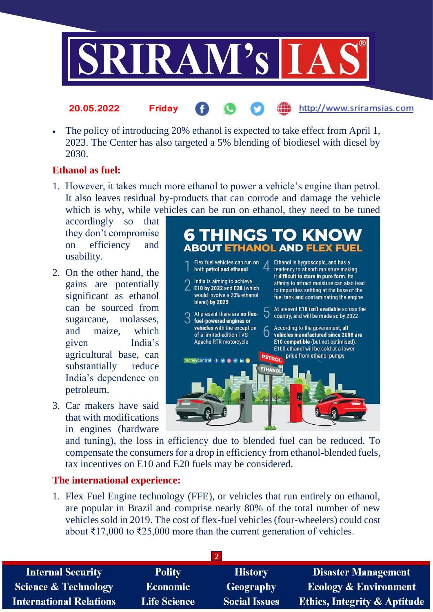

• The policy of introducing 20% ethanol is expected to take effect from April 1, 2023. The Center has also targeted a 5% blending of biodiesel with diesel by 2030.

#### **Ethanol as fuel:**

1. However, it takes much more ethanol to power a vehicle's engine than petrol. It also leaves residual by-products that can corrode and damage the vehicle which is why, while vehicles can be run on ethanol, they need to be tuned

accordingly so that they don't compromise on efficiency and usability.

**20.05.2022 Friday**

- 2. On the other hand, the gains are potentially significant as ethanol can be sourced from sugarcane, molasses, and maize, which given India's agricultural base, can substantially reduce India's dependence on petroleum.
- 3. Car makers have said that with modifications in engines (hardware



http://www.sriramsias.com

and tuning), the loss in efficiency due to blended fuel can be reduced. To compensate the consumers for a drop in efficiency from ethanol-blended fuels, tax incentives on E10 and E20 fuels may be considered.

#### **The international experience:**

1. Flex Fuel Engine technology (FFE), or vehicles that run entirely on ethanol, are popular in Brazil and comprise nearly 80% of the total number of new vehicles sold in 2019. The cost of flex-fuel vehicles (four-wheelers) could cost about ₹17,000 to ₹25,000 more than the current generation of vehicles.

| <b>Internal Security</b>        | <b>Polity</b>       | <b>History</b>       | <b>Disaster Management</b>              |  |  |
|---------------------------------|---------------------|----------------------|-----------------------------------------|--|--|
| <b>Science &amp; Technology</b> | <b>Economic</b>     | <b>Geography</b>     | <b>Ecology &amp; Environment</b>        |  |  |
| <b>International Relations</b>  | <b>Life Science</b> | <b>Social Issues</b> | <b>Ethics, Integrity &amp; Aptitude</b> |  |  |